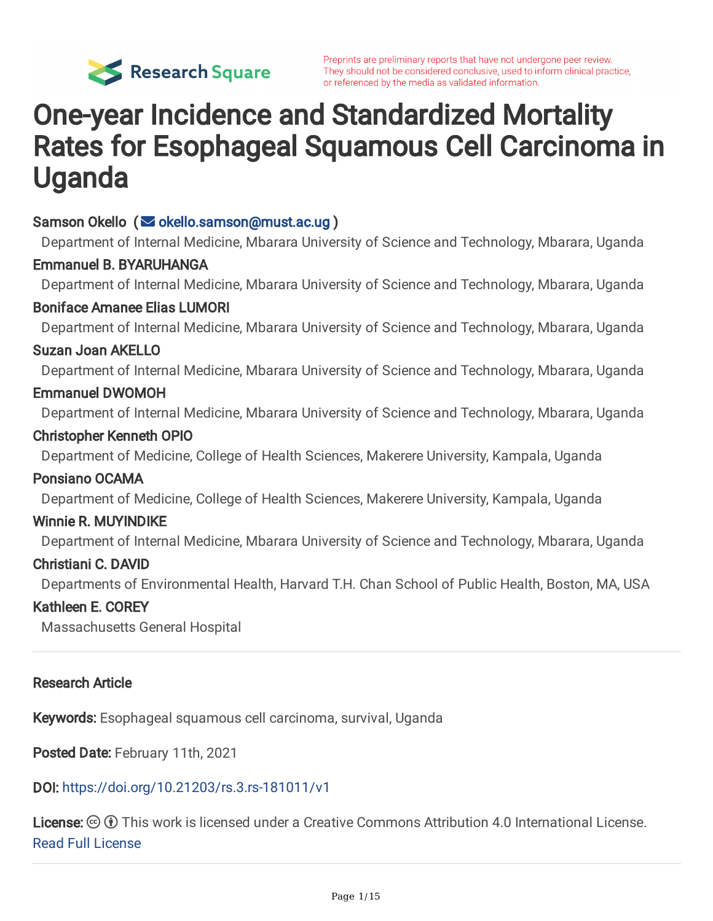

Preprints are preliminary reports that have not undergone peer review. They should not be considered conclusive, used to inform clinical practice, or referenced by the media as validated information.

## One-year Incidence and Standardized Mortality Rates for Esophageal Squamous Cell Carcinoma in Uganda

Samson Okello (  $\blacktriangleright$  [okello.samson@must.ac.ug](mailto:okello.samson@must.ac.ug) )

Department of Internal Medicine, Mbarara University of Science and Technology, Mbarara, Uganda Emmanuel B. BYARUHANGA Department of Internal Medicine, Mbarara University of Science and Technology, Mbarara, Uganda Boniface Amanee Elias LUMORI Department of Internal Medicine, Mbarara University of Science and Technology, Mbarara, Uganda Suzan Joan AKELLO Department of Internal Medicine, Mbarara University of Science and Technology, Mbarara, Uganda Emmanuel DWOMOH Department of Internal Medicine, Mbarara University of Science and Technology, Mbarara, Uganda Christopher Kenneth OPIO Department of Medicine, College of Health Sciences, Makerere University, Kampala, Uganda Ponsiano OCAMA Department of Medicine, College of Health Sciences, Makerere University, Kampala, Uganda Winnie R. MUYINDIKE Department of Internal Medicine, Mbarara University of Science and Technology, Mbarara, Uganda Christiani C. DAVID Departments of Environmental Health, Harvard T.H. Chan School of Public Health, Boston, MA, USA Kathleen E. COREY Massachusetts General Hospital Research Article

Keywords: Esophageal squamous cell carcinoma, survival, Uganda

Posted Date: February 11th, 2021

#### DOI: <https://doi.org/10.21203/rs.3.rs-181011/v1>

**License:**  $\textcircled{e}$   $\textcircled{f}$ ) This work is licensed under a Creative Commons Attribution 4.0 International License. Read Full [License](https://creativecommons.org/licenses/by/4.0/)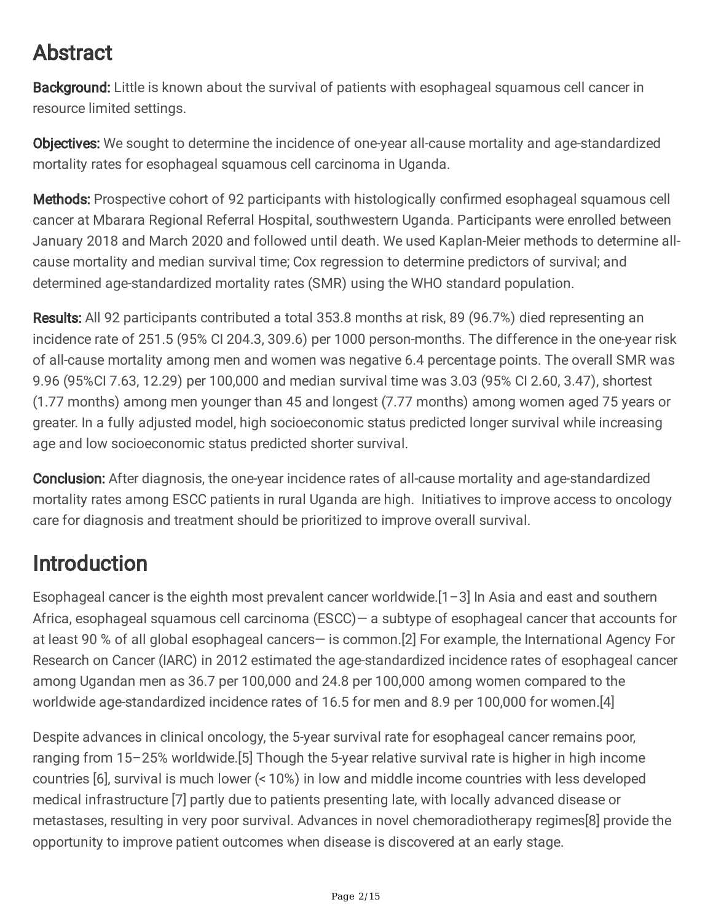#### Abstract

Background: Little is known about the survival of patients with esophageal squamous cell cancer in resource limited settings.

**Objectives:** We sought to determine the incidence of one-year all-cause mortality and age-standardized mortality rates for esophageal squamous cell carcinoma in Uganda.

Methods: Prospective cohort of 92 participants with histologically confirmed esophageal squamous cell cancer at Mbarara Regional Referral Hospital, southwestern Uganda. Participants were enrolled between January 2018 and March 2020 and followed until death. We used Kaplan-Meier methods to determine allcause mortality and median survival time; Cox regression to determine predictors of survival; and determined age-standardized mortality rates (SMR) using the WHO standard population.

Results: All 92 participants contributed a total 353.8 months at risk, 89 (96.7%) died representing an incidence rate of 251.5 (95% CI 204.3, 309.6) per 1000 person-months. The difference in the one-year risk of all-cause mortality among men and women was negative 6.4 percentage points. The overall SMR was 9.96 (95%CI 7.63, 12.29) per 100,000 and median survival time was 3.03 (95% CI 2.60, 3.47), shortest (1.77 months) among men younger than 45 and longest (7.77 months) among women aged 75 years or greater. In a fully adjusted model, high socioeconomic status predicted longer survival while increasing age and low socioeconomic status predicted shorter survival.

**Conclusion:** After diagnosis, the one-year incidence rates of all-cause mortality and age-standardized mortality rates among ESCC patients in rural Uganda are high. Initiatives to improve access to oncology care for diagnosis and treatment should be prioritized to improve overall survival.

### Introduction

Esophageal cancer is the eighth most prevalent cancer worldwide.[1–3] In Asia and east and southern Africa, esophageal squamous cell carcinoma (ESCC)— a subtype of esophageal cancer that accounts for at least 90 % of all global esophageal cancers— is common.[2] For example, the International Agency For Research on Cancer (IARC) in 2012 estimated the age-standardized incidence rates of esophageal cancer among Ugandan men as 36.7 per 100,000 and 24.8 per 100,000 among women compared to the worldwide age-standardized incidence rates of 16.5 for men and 8.9 per 100,000 for women.[4]

Despite advances in clinical oncology, the 5-year survival rate for esophageal cancer remains poor, ranging from 15–25% worldwide.[5] Though the 5-year relative survival rate is higher in high income countries [6], survival is much lower (< 10%) in low and middle income countries with less developed medical infrastructure [7] partly due to patients presenting late, with locally advanced disease or metastases, resulting in very poor survival. Advances in novel chemoradiotherapy regimes[8] provide the opportunity to improve patient outcomes when disease is discovered at an early stage.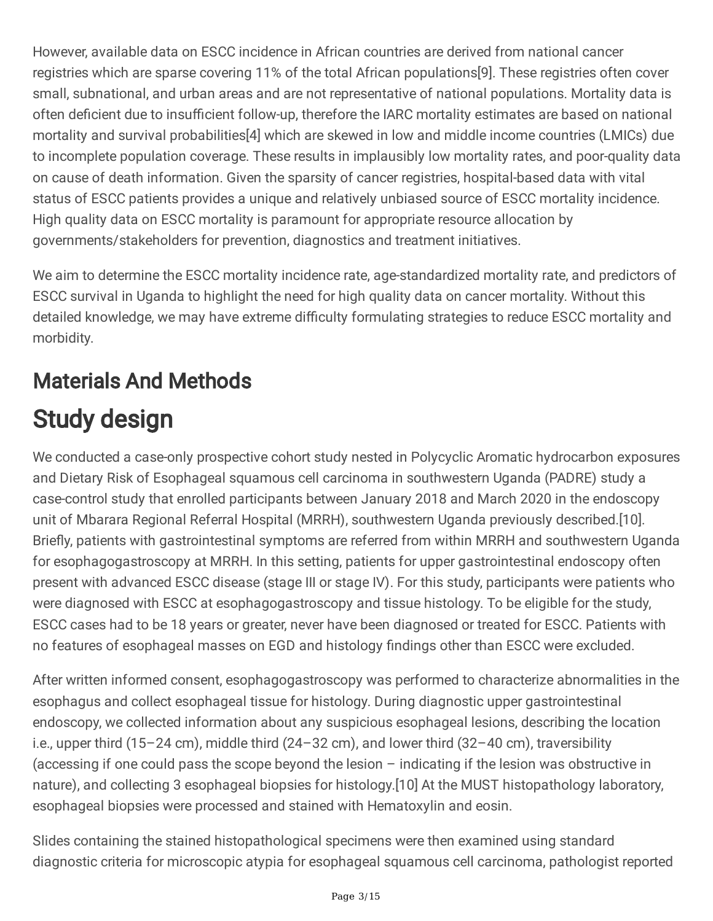However, available data on ESCC incidence in African countries are derived from national cancer registries which are sparse covering 11% of the total African populations[9]. These registries often cover small, subnational, and urban areas and are not representative of national populations. Mortality data is often deficient due to insufficient follow-up, therefore the IARC mortality estimates are based on national mortality and survival probabilities[4] which are skewed in low and middle income countries (LMICs) due to incomplete population coverage. These results in implausibly low mortality rates, and poor-quality data on cause of death information. Given the sparsity of cancer registries, hospital-based data with vital status of ESCC patients provides a unique and relatively unbiased source of ESCC mortality incidence. High quality data on ESCC mortality is paramount for appropriate resource allocation by governments/stakeholders for prevention, diagnostics and treatment initiatives.

We aim to determine the ESCC mortality incidence rate, age-standardized mortality rate, and predictors of ESCC survival in Uganda to highlight the need for high quality data on cancer mortality. Without this detailed knowledge, we may have extreme difficulty formulating strategies to reduce ESCC mortality and morbidity.

# Materials And Methods Study design

We conducted a case-only prospective cohort study nested in Polycyclic Aromatic hydrocarbon exposures and Dietary Risk of Esophageal squamous cell carcinoma in southwestern Uganda (PADRE) study a case-control study that enrolled participants between January 2018 and March 2020 in the endoscopy unit of Mbarara Regional Referral Hospital (MRRH), southwestern Uganda previously described.[10]. Briefly, patients with gastrointestinal symptoms are referred from within MRRH and southwestern Uganda for esophagogastroscopy at MRRH. In this setting, patients for upper gastrointestinal endoscopy often present with advanced ESCC disease (stage III or stage IV). For this study, participants were patients who were diagnosed with ESCC at esophagogastroscopy and tissue histology. To be eligible for the study, ESCC cases had to be 18 years or greater, never have been diagnosed or treated for ESCC. Patients with no features of esophageal masses on EGD and histology findings other than ESCC were excluded.

After written informed consent, esophagogastroscopy was performed to characterize abnormalities in the esophagus and collect esophageal tissue for histology. During diagnostic upper gastrointestinal endoscopy, we collected information about any suspicious esophageal lesions, describing the location i.e., upper third (15–24 cm), middle third (24–32 cm), and lower third (32–40 cm), traversibility (accessing if one could pass the scope beyond the lesion – indicating if the lesion was obstructive in nature), and collecting 3 esophageal biopsies for histology.[10] At the MUST histopathology laboratory, esophageal biopsies were processed and stained with Hematoxylin and eosin.

Slides containing the stained histopathological specimens were then examined using standard diagnostic criteria for microscopic atypia for esophageal squamous cell carcinoma, pathologist reported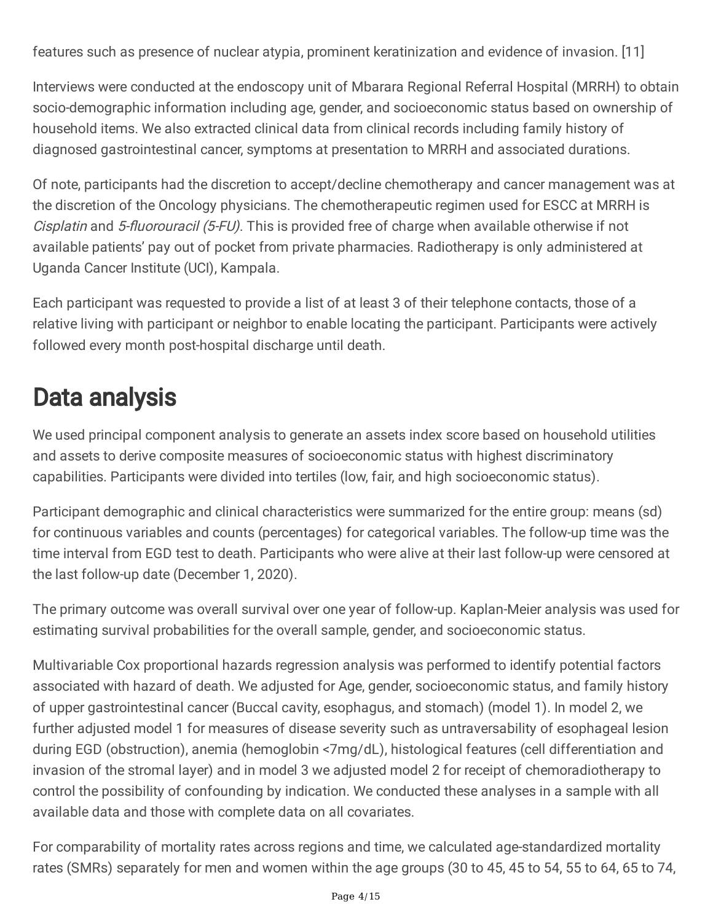features such as presence of nuclear atypia, prominent keratinization and evidence of invasion. [11]

Interviews were conducted at the endoscopy unit of Mbarara Regional Referral Hospital (MRRH) to obtain socio-demographic information including age, gender, and socioeconomic status based on ownership of household items. We also extracted clinical data from clinical records including family history of diagnosed gastrointestinal cancer, symptoms at presentation to MRRH and associated durations.

Of note, participants had the discretion to accept/decline chemotherapy and cancer management was at the discretion of the Oncology physicians. The chemotherapeutic regimen used for ESCC at MRRH is Cisplatin and 5-fluorouracil (5-FU). This is provided free of charge when available otherwise if not available patients' pay out of pocket from private pharmacies. Radiotherapy is only administered at Uganda Cancer Institute (UCI), Kampala.

Each participant was requested to provide a list of at least 3 of their telephone contacts, those of a relative living with participant or neighbor to enable locating the participant. Participants were actively followed every month post-hospital discharge until death.

## Data analysis

We used principal component analysis to generate an assets index score based on household utilities and assets to derive composite measures of socioeconomic status with highest discriminatory capabilities. Participants were divided into tertiles (low, fair, and high socioeconomic status).

Participant demographic and clinical characteristics were summarized for the entire group: means (sd) for continuous variables and counts (percentages) for categorical variables. The follow-up time was the time interval from EGD test to death. Participants who were alive at their last follow-up were censored at the last follow-up date (December 1, 2020).

The primary outcome was overall survival over one year of follow-up. Kaplan-Meier analysis was used for estimating survival probabilities for the overall sample, gender, and socioeconomic status.

Multivariable Cox proportional hazards regression analysis was performed to identify potential factors associated with hazard of death. We adjusted for Age, gender, socioeconomic status, and family history of upper gastrointestinal cancer (Buccal cavity, esophagus, and stomach) (model 1). In model 2, we further adjusted model 1 for measures of disease severity such as untraversability of esophageal lesion during EGD (obstruction), anemia (hemoglobin <7mg/dL), histological features (cell differentiation and invasion of the stromal layer) and in model 3 we adjusted model 2 for receipt of chemoradiotherapy to control the possibility of confounding by indication. We conducted these analyses in a sample with all available data and those with complete data on all covariates.

For comparability of mortality rates across regions and time, we calculated age-standardized mortality rates (SMRs) separately for men and women within the age groups (30 to 45, 45 to 54, 55 to 64, 65 to 74,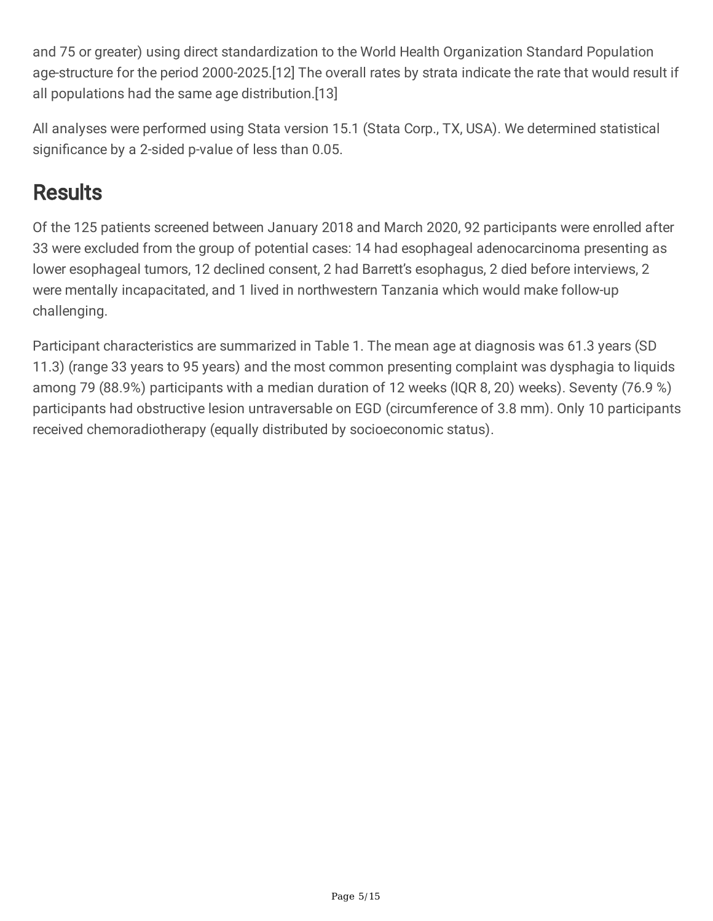and 75 or greater) using direct standardization to the World Health Organization Standard Population age-structure for the period 2000-2025.[12] The overall rates by strata indicate the rate that would result if all populations had the same age distribution.[13]

All analyses were performed using Stata version 15.1 (Stata Corp., TX, USA). We determined statistical significance by a 2-sided p-value of less than 0.05.

#### **Results**

Of the 125 patients screened between January 2018 and March 2020, 92 participants were enrolled after 33 were excluded from the group of potential cases: 14 had esophageal adenocarcinoma presenting as lower esophageal tumors, 12 declined consent, 2 had Barrett's esophagus, 2 died before interviews, 2 were mentally incapacitated, and 1 lived in northwestern Tanzania which would make follow-up challenging.

Participant characteristics are summarized in Table 1. The mean age at diagnosis was 61.3 years (SD 11.3) (range 33 years to 95 years) and the most common presenting complaint was dysphagia to liquids among 79 (88.9%) participants with a median duration of 12 weeks (IQR 8, 20) weeks). Seventy (76.9 %) participants had obstructive lesion untraversable on EGD (circumference of 3.8 mm). Only 10 participants received chemoradiotherapy (equally distributed by socioeconomic status).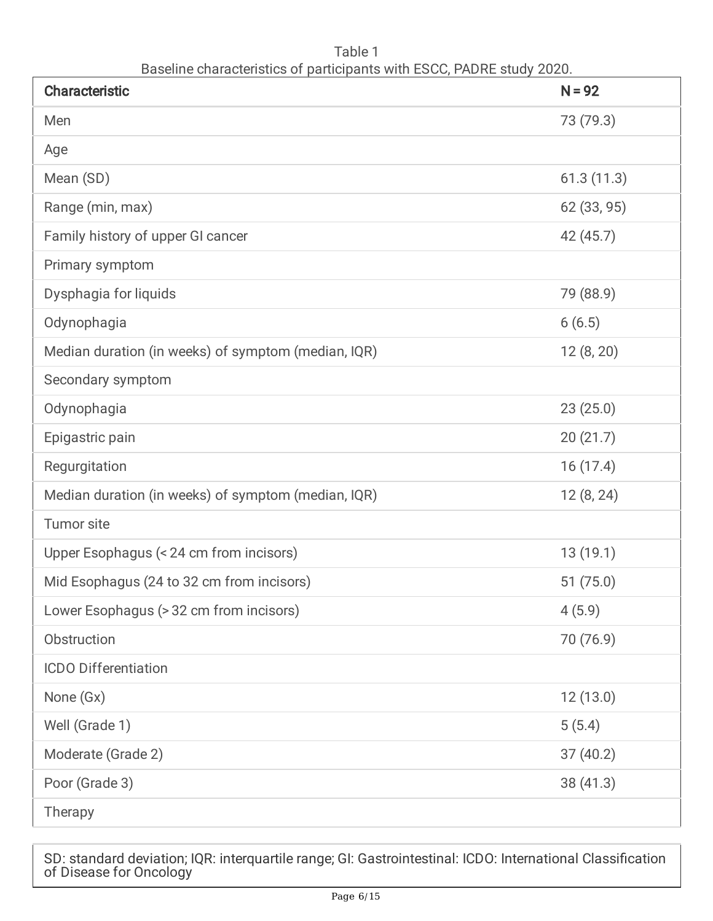Table 1 Baseline characteristics of participants with ESCC, PADRE study 2020.

| <b>Characteristic</b>                               | $N = 92$    |
|-----------------------------------------------------|-------------|
| Men                                                 | 73 (79.3)   |
| Age                                                 |             |
| Mean (SD)                                           | 61.3(11.3)  |
| Range (min, max)                                    | 62 (33, 95) |
| Family history of upper GI cancer                   | 42 (45.7)   |
| Primary symptom                                     |             |
| Dysphagia for liquids                               | 79 (88.9)   |
| Odynophagia                                         | 6(6.5)      |
| Median duration (in weeks) of symptom (median, IQR) | 12(8, 20)   |
| Secondary symptom                                   |             |
| Odynophagia                                         | 23(25.0)    |
| Epigastric pain                                     | 20(21.7)    |
| Regurgitation                                       | 16(17.4)    |
| Median duration (in weeks) of symptom (median, IQR) | 12(8, 24)   |
| Tumor site                                          |             |
| Upper Esophagus (< 24 cm from incisors)             | 13(19.1)    |
| Mid Esophagus (24 to 32 cm from incisors)           | 51(75.0)    |
| Lower Esophagus (> 32 cm from incisors)             | 4(5.9)      |
| Obstruction                                         | 70 (76.9)   |
| <b>ICDO Differentiation</b>                         |             |
| None (Gx)                                           | 12(13.0)    |
| Well (Grade 1)                                      | 5(5.4)      |
| Moderate (Grade 2)                                  | 37(40.2)    |
| Poor (Grade 3)                                      | 38(41.3)    |
| Therapy                                             |             |

SD: standard deviation; IQR: interquartile range; GI: Gastrointestinal: ICDO: International Classification of Disease for Oncology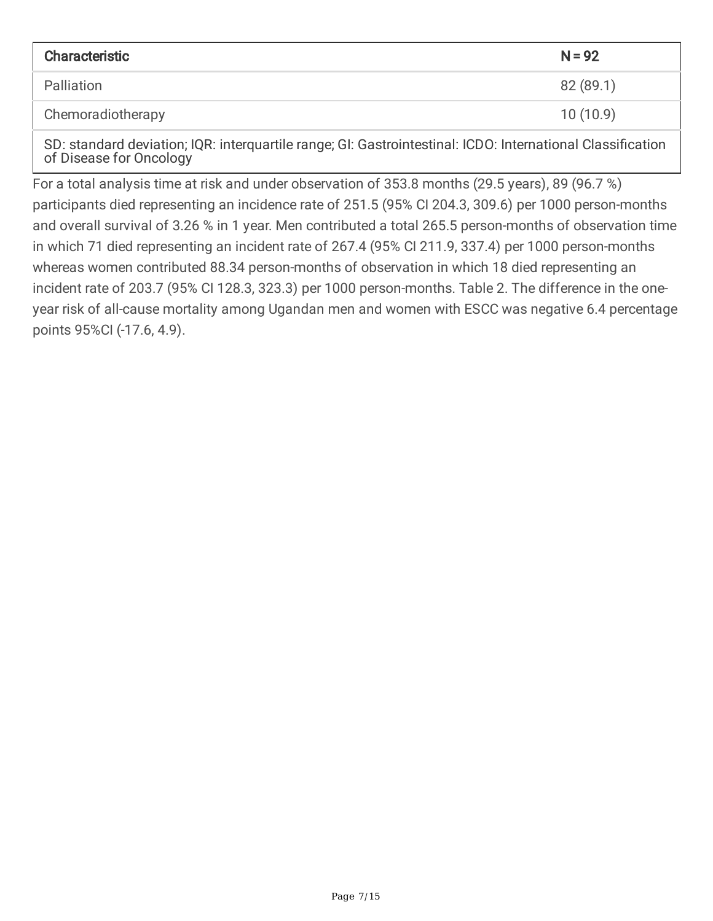| Characteristic                                                                                                                                                                                                                                                                                                                              | $N = 92$  |
|---------------------------------------------------------------------------------------------------------------------------------------------------------------------------------------------------------------------------------------------------------------------------------------------------------------------------------------------|-----------|
| Palliation                                                                                                                                                                                                                                                                                                                                  | 82 (89.1) |
| Chemoradiotherapy                                                                                                                                                                                                                                                                                                                           | 10(10.9)  |
| $\mathcal{A}$ , $\mathcal{A}$ , $\mathcal{A}$ , $\mathcal{A}$ , $\mathcal{A}$ , $\mathcal{A}$ , $\mathcal{A}$ , $\mathcal{A}$ , $\mathcal{A}$ , $\mathcal{A}$ , $\mathcal{A}$ , $\mathcal{A}$ , $\mathcal{A}$ , $\mathcal{A}$ , $\mathcal{A}$ , $\mathcal{A}$ , $\mathcal{A}$ , $\mathcal{A}$ , $\mathcal{A}$ , $\mathcal{A}$ ,<br>$\cdots$ |           |

SD: standard deviation; IQR: interquartile range; GI: Gastrointestinal: ICDO: International Classification of Disease for Oncology

For a total analysis time at risk and under observation of 353.8 months (29.5 years), 89 (96.7 %) participants died representing an incidence rate of 251.5 (95% CI 204.3, 309.6) per 1000 person-months and overall survival of 3.26 % in 1 year. Men contributed a total 265.5 person-months of observation time in which 71 died representing an incident rate of 267.4 (95% CI 211.9, 337.4) per 1000 person-months whereas women contributed 88.34 person-months of observation in which 18 died representing an incident rate of 203.7 (95% CI 128.3, 323.3) per 1000 person-months. Table 2. The difference in the oneyear risk of all-cause mortality among Ugandan men and women with ESCC was negative 6.4 percentage points 95%CI (-17.6, 4.9).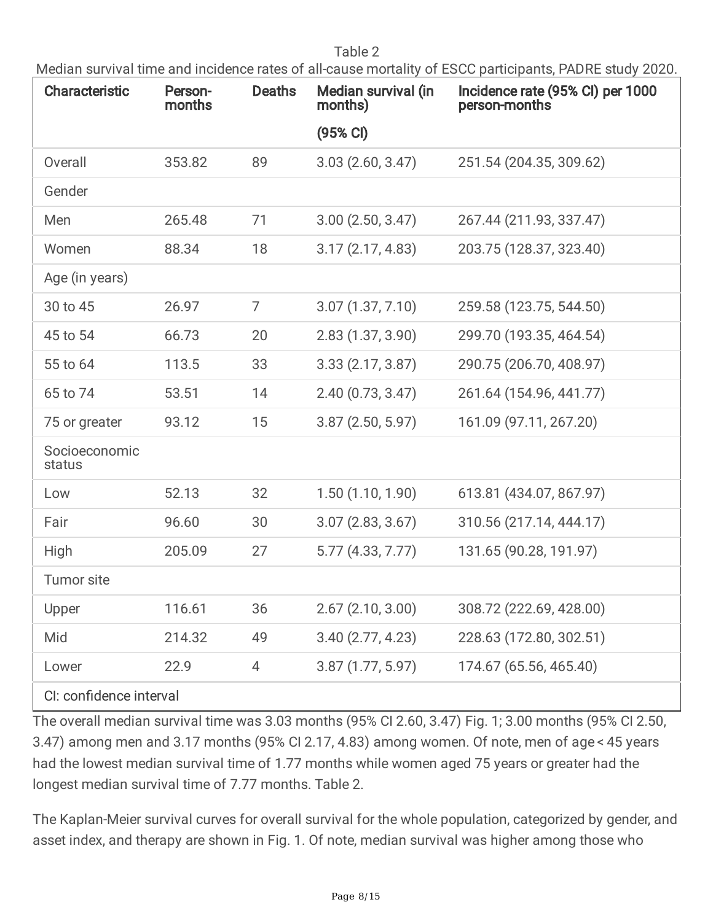Table 2

Median survival time and incidence rates of all-cause mortality of ESCC participants, PADRE study 2020.

| <b>Characteristic</b>   | Person-<br>months | <b>Deaths</b> | Median survival (in<br>months) | Incidence rate (95% CI) per 1000<br>person-months |
|-------------------------|-------------------|---------------|--------------------------------|---------------------------------------------------|
|                         |                   |               | (95% CI)                       |                                                   |
| Overall                 | 353.82            | 89            | 3.03(2.60, 3.47)               | 251.54 (204.35, 309.62)                           |
| Gender                  |                   |               |                                |                                                   |
| Men                     | 265.48            | 71            | 3.00(2.50, 3.47)               | 267.44 (211.93, 337.47)                           |
| Women                   | 88.34             | 18            | 3.17(2.17, 4.83)               | 203.75 (128.37, 323.40)                           |
| Age (in years)          |                   |               |                                |                                                   |
| 30 to 45                | 26.97             | 7             | 3.07(1.37, 7.10)               | 259.58 (123.75, 544.50)                           |
| 45 to 54                | 66.73             | 20            | 2.83(1.37, 3.90)               | 299.70 (193.35, 464.54)                           |
| 55 to 64                | 113.5             | 33            | 3.33(2.17, 3.87)               | 290.75 (206.70, 408.97)                           |
| 65 to 74                | 53.51             | 14            | 2.40(0.73, 3.47)               | 261.64 (154.96, 441.77)                           |
| 75 or greater           | 93.12             | 15            | 3.87(2.50, 5.97)               | 161.09 (97.11, 267.20)                            |
| Socioeconomic<br>status |                   |               |                                |                                                   |
| Low                     | 52.13             | 32            | 1.50(1.10, 1.90)               | 613.81 (434.07, 867.97)                           |
| Fair                    | 96.60             | 30            | 3.07(2.83, 3.67)               | 310.56 (217.14, 444.17)                           |
| High                    | 205.09            | 27            | 5.77(4.33, 7.77)               | 131.65 (90.28, 191.97)                            |
| <b>Tumor site</b>       |                   |               |                                |                                                   |
| Upper                   | 116.61            | 36            | 2.67(2.10, 3.00)               | 308.72 (222.69, 428.00)                           |
| Mid                     | 214.32            | 49            | 3.40(2.77, 4.23)               | 228.63 (172.80, 302.51)                           |
| Lower                   | 22.9              | 4             | 3.87(1.77, 5.97)               | 174.67 (65.56, 465.40)                            |
| CI: confidence interval |                   |               |                                |                                                   |

The overall median survival time was 3.03 months (95% CI 2.60, 3.47) Fig. 1; 3.00 months (95% CI 2.50, 3.47) among men and 3.17 months (95% CI 2.17, 4.83) among women. Of note, men of age < 45 years had the lowest median survival time of 1.77 months while women aged 75 years or greater had the longest median survival time of 7.77 months. Table 2.

The Kaplan-Meier survival curves for overall survival for the whole population, categorized by gender, and asset index, and therapy are shown in Fig. 1. Of note, median survival was higher among those who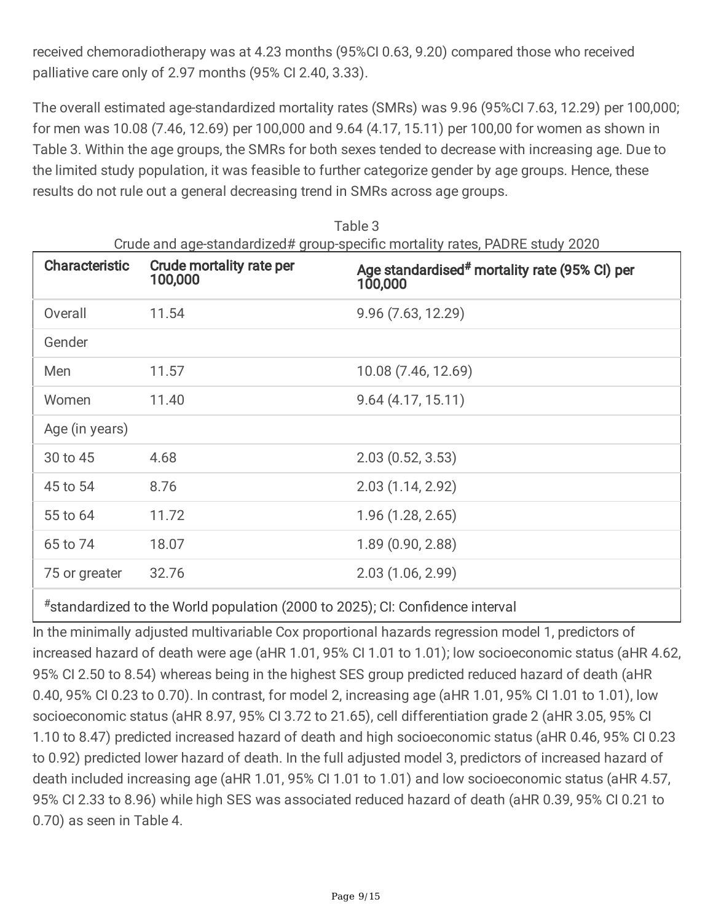received chemoradiotherapy was at 4.23 months (95%CI 0.63, 9.20) compared those who received palliative care only of 2.97 months (95% CI 2.40, 3.33).

The overall estimated age-standardized mortality rates (SMRs) was 9.96 (95%CI 7.63, 12.29) per 100,000; for men was 10.08 (7.46, 12.69) per 100,000 and 9.64 (4.17, 15.11) per 100,00 for women as shown in Table 3. Within the age groups, the SMRs for both sexes tended to decrease with increasing age. Due to the limited study population, it was feasible to further categorize gender by age groups. Hence, these results do not rule out a general decreasing trend in SMRs across age groups.

| <b>Characteristic</b> | <b>Crude mortality rate per</b><br>100,000 | Age standardised <sup>#</sup> mortality rate (95% CI) per<br>100,000 |
|-----------------------|--------------------------------------------|----------------------------------------------------------------------|
| Overall               | 11.54                                      | 9.96(7.63, 12.29)                                                    |
| Gender                |                                            |                                                                      |
| Men                   | 11.57                                      | 10.08 (7.46, 12.69)                                                  |
| Women                 | 11.40                                      | 9.64(4.17, 15.11)                                                    |
| Age (in years)        |                                            |                                                                      |
| 30 to 45              | 4.68                                       | 2.03(0.52, 3.53)                                                     |
| 45 to 54              | 8.76                                       | 2.03(1.14, 2.92)                                                     |
| 55 to 64              | 11.72                                      | 1.96(1.28, 2.65)                                                     |
| 65 to 74              | 18.07                                      | 1.89(0.90, 2.88)                                                     |
| 75 or greater         | 32.76                                      | 2.03(1.06, 2.99)                                                     |
|                       |                                            |                                                                      |

Table 3

#standardized to the World population (2000 to 2025); CI: Confidence interval

In the minimally adjusted multivariable Cox proportional hazards regression model 1, predictors of increased hazard of death were age (aHR 1.01, 95% CI 1.01 to 1.01); low socioeconomic status (aHR 4.62, 95% CI 2.50 to 8.54) whereas being in the highest SES group predicted reduced hazard of death (aHR 0.40, 95% CI 0.23 to 0.70). In contrast, for model 2, increasing age (aHR 1.01, 95% CI 1.01 to 1.01), low socioeconomic status (aHR 8.97, 95% CI 3.72 to 21.65), cell differentiation grade 2 (aHR 3.05, 95% CI 1.10 to 8.47) predicted increased hazard of death and high socioeconomic status (aHR 0.46, 95% CI 0.23 to 0.92) predicted lower hazard of death. In the full adjusted model 3, predictors of increased hazard of death included increasing age (aHR 1.01, 95% CI 1.01 to 1.01) and low socioeconomic status (aHR 4.57, 95% CI 2.33 to 8.96) while high SES was associated reduced hazard of death (aHR 0.39, 95% CI 0.21 to 0.70) as seen in Table 4.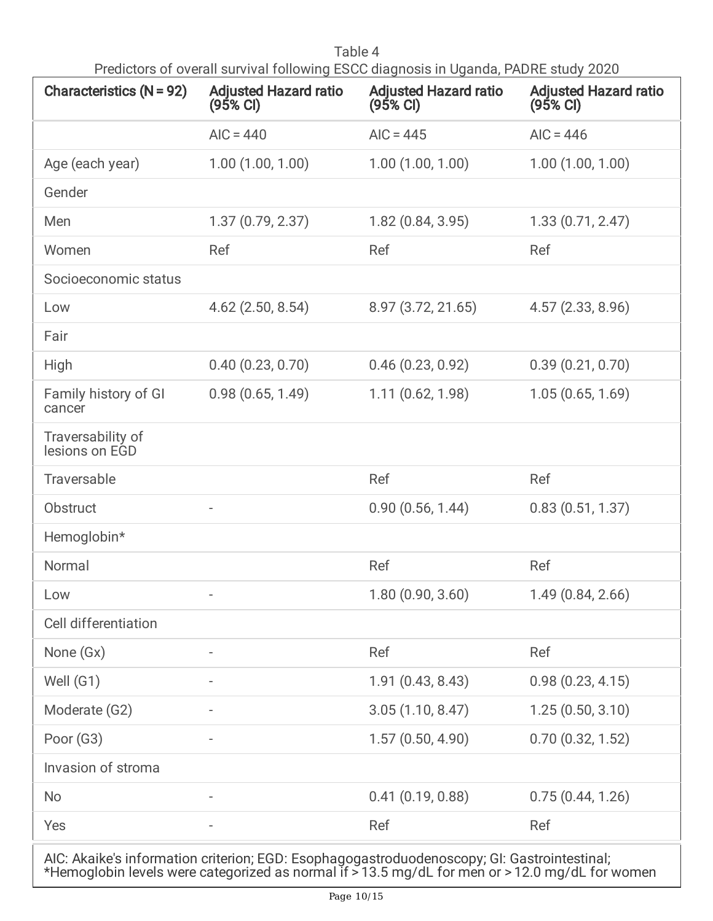Table 4 Predictors of overall survival following ESCC diagnosis in Uganda, PADRE study 2020

| <b>Characteristics (N = 92)</b>     | <b>Adjusted Hazard ratio</b><br>$(95% \text{ Cl})$ | <b>Adjusted Hazard ratio</b><br>$(95% \text{ Cl})$ | <b>Adjusted Hazard ratio</b><br>$(95% \text{ Cl})$ |
|-------------------------------------|----------------------------------------------------|----------------------------------------------------|----------------------------------------------------|
|                                     | $AIC = 440$                                        | $AIC = 445$                                        | $AIC = 446$                                        |
| Age (each year)                     | 1.00(1.00, 1.00)                                   | 1.00(1.00, 1.00)                                   | 1.00(1.00, 1.00)                                   |
| Gender                              |                                                    |                                                    |                                                    |
| Men                                 | 1.37(0.79, 2.37)                                   | 1.82(0.84, 3.95)                                   | 1.33(0.71, 2.47)                                   |
| Women                               | Ref                                                | Ref                                                | Ref                                                |
| Socioeconomic status                |                                                    |                                                    |                                                    |
| Low                                 | $4.62$ (2.50, 8.54)                                | 8.97 (3.72, 21.65)                                 | 4.57(2.33, 8.96)                                   |
| Fair                                |                                                    |                                                    |                                                    |
| High                                | 0.40(0.23, 0.70)                                   | 0.46(0.23, 0.92)                                   | 0.39(0.21, 0.70)                                   |
| Family history of GI<br>cancer      | 0.98(0.65, 1.49)                                   | 1.11(0.62, 1.98)                                   | 1.05(0.65, 1.69)                                   |
| Traversability of<br>lesions on EGD |                                                    |                                                    |                                                    |
| Traversable                         |                                                    | Ref                                                | Ref                                                |
| Obstruct                            | $\overline{\phantom{a}}$                           | 0.90(0.56, 1.44)                                   | 0.83(0.51, 1.37)                                   |
| Hemoglobin*                         |                                                    |                                                    |                                                    |
| Normal                              |                                                    | Ref                                                | Ref                                                |
| Low                                 |                                                    | 1.80(0.90, 3.60)                                   | 1.49(0.84, 2.66)                                   |
| Cell differentiation                |                                                    |                                                    |                                                    |
| None (Gx)                           |                                                    | Ref                                                | Ref                                                |
| Well (G1)                           |                                                    | 1.91(0.43, 8.43)                                   | 0.98(0.23, 4.15)                                   |
| Moderate (G2)                       |                                                    | 3.05(1.10, 8.47)                                   | 1.25(0.50, 3.10)                                   |
| Poor (G3)                           |                                                    | 1.57(0.50, 4.90)                                   | 0.70(0.32, 1.52)                                   |
| Invasion of stroma                  |                                                    |                                                    |                                                    |
| <b>No</b>                           |                                                    | 0.41(0.19, 0.88)                                   | 0.75(0.44, 1.26)                                   |
| Yes                                 |                                                    | Ref                                                | Ref                                                |
|                                     |                                                    |                                                    |                                                    |

AIC: Akaike's information criterion; EGD: Esophagogastroduodenoscopy; GI: Gastrointestinal; \*Hemoglobin levels were categorized as normal if > 13.5 mg/dL for men or > 12.0 mg/dL for women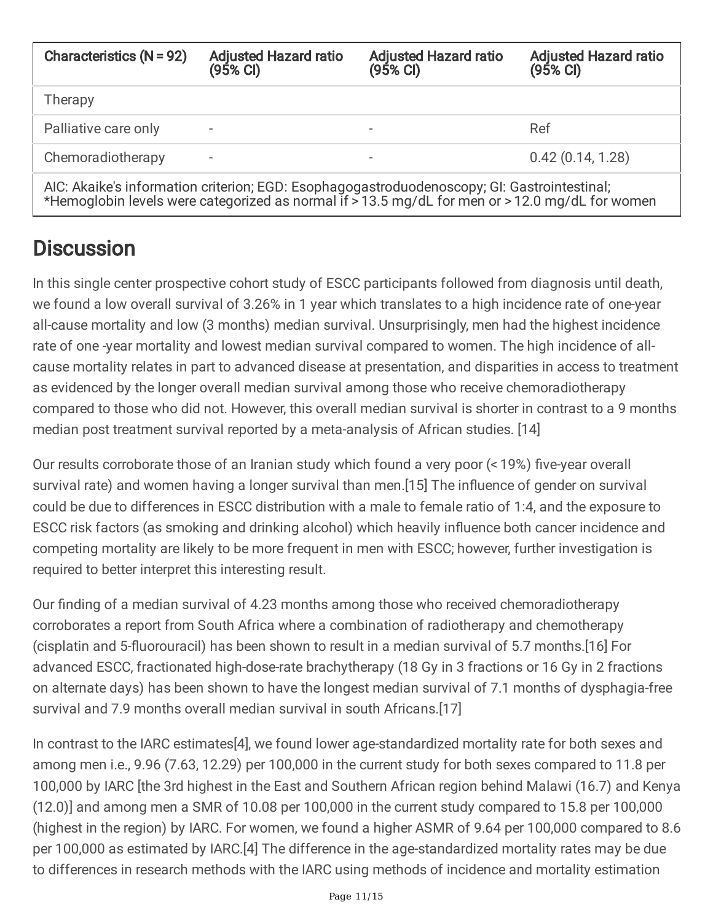| Characteristics $(N = 92)$                                                                                                                                                                     | <b>Adjusted Hazard ratio</b><br>(95% <sub>C</sub> ) | <b>Adjusted Hazard ratio</b><br>(95% CI) | <b>Adjusted Hazard ratio</b><br>(95% CI) |
|------------------------------------------------------------------------------------------------------------------------------------------------------------------------------------------------|-----------------------------------------------------|------------------------------------------|------------------------------------------|
| Therapy                                                                                                                                                                                        |                                                     |                                          |                                          |
| Palliative care only                                                                                                                                                                           | $\overline{\phantom{a}}$                            |                                          | Ref                                      |
| Chemoradiotherapy                                                                                                                                                                              | $\overline{\phantom{a}}$                            |                                          | 0.42(0.14, 1.28)                         |
| AIC: Akaike's information criterion; EGD: Esophagogastroduodenoscopy; GI: Gastrointestinal;<br>*Hemoglobin levels were categorized as normal if > 13.5 mg/dL for men or > 12.0 mg/dL for women |                                                     |                                          |                                          |

#### **Discussion**

In this single center prospective cohort study of ESCC participants followed from diagnosis until death, we found a low overall survival of 3.26% in 1 year which translates to a high incidence rate of one-year all-cause mortality and low (3 months) median survival. Unsurprisingly, men had the highest incidence rate of one -year mortality and lowest median survival compared to women. The high incidence of allcause mortality relates in part to advanced disease at presentation, and disparities in access to treatment as evidenced by the longer overall median survival among those who receive chemoradiotherapy compared to those who did not. However, this overall median survival is shorter in contrast to a 9 months median post treatment survival reported by a meta-analysis of African studies. [14]

Our results corroborate those of an Iranian study which found a very poor (< 19%) five-year overall survival rate) and women having a longer survival than men.[15] The influence of gender on survival could be due to differences in ESCC distribution with a male to female ratio of 1:4, and the exposure to ESCC risk factors (as smoking and drinking alcohol) which heavily influence both cancer incidence and competing mortality are likely to be more frequent in men with ESCC; however, further investigation is required to better interpret this interesting result.

Our finding of a median survival of 4.23 months among those who received chemoradiotherapy corroborates a report from South Africa where a combination of radiotherapy and chemotherapy (cisplatin and 5-fluorouracil) has been shown to result in a median survival of 5.7 months.[16] For advanced ESCC, fractionated high-dose-rate brachytherapy (18 Gy in 3 fractions or 16 Gy in 2 fractions on alternate days) has been shown to have the longest median survival of 7.1 months of dysphagia-free survival and 7.9 months overall median survival in south Africans.[17]

In contrast to the IARC estimates[4], we found lower age-standardized mortality rate for both sexes and among men i.e., 9.96 (7.63, 12.29) per 100,000 in the current study for both sexes compared to 11.8 per 100,000 by IARC [the 3rd highest in the East and Southern African region behind Malawi (16.7) and Kenya (12.0)] and among men a SMR of 10.08 per 100,000 in the current study compared to 15.8 per 100,000 (highest in the region) by IARC. For women, we found a higher ASMR of 9.64 per 100,000 compared to 8.6 per 100,000 as estimated by IARC.[4] The difference in the age-standardized mortality rates may be due to differences in research methods with the IARC using methods of incidence and mortality estimation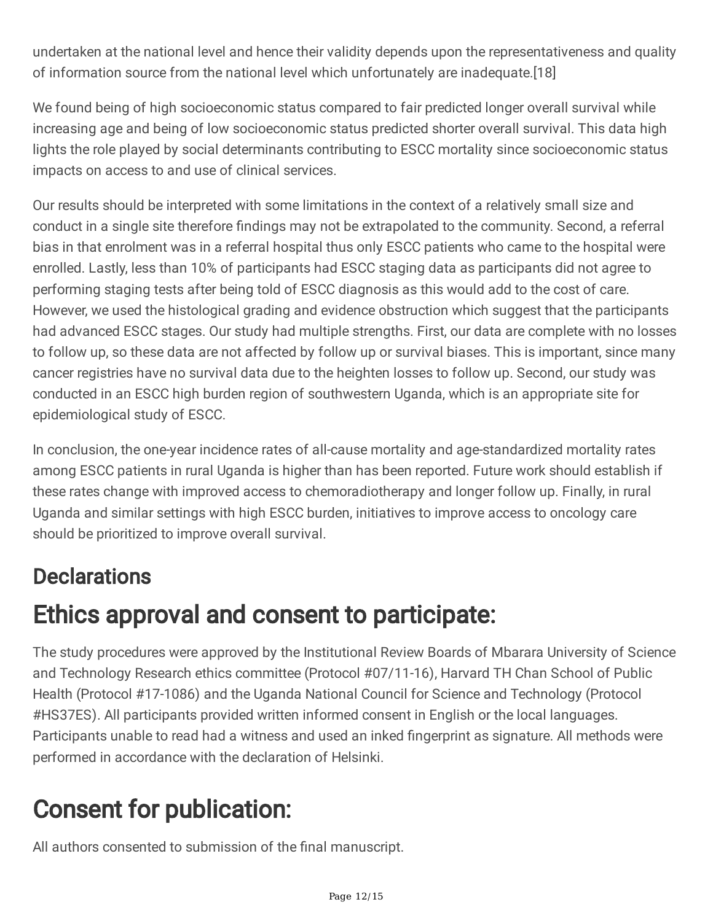undertaken at the national level and hence their validity depends upon the representativeness and quality of information source from the national level which unfortunately are inadequate.[18]

We found being of high socioeconomic status compared to fair predicted longer overall survival while increasing age and being of low socioeconomic status predicted shorter overall survival. This data high lights the role played by social determinants contributing to ESCC mortality since socioeconomic status impacts on access to and use of clinical services.

Our results should be interpreted with some limitations in the context of a relatively small size and conduct in a single site therefore findings may not be extrapolated to the community. Second, a referral bias in that enrolment was in a referral hospital thus only ESCC patients who came to the hospital were enrolled. Lastly, less than 10% of participants had ESCC staging data as participants did not agree to performing staging tests after being told of ESCC diagnosis as this would add to the cost of care. However, we used the histological grading and evidence obstruction which suggest that the participants had advanced ESCC stages. Our study had multiple strengths. First, our data are complete with no losses to follow up, so these data are not affected by follow up or survival biases. This is important, since many cancer registries have no survival data due to the heighten losses to follow up. Second, our study was conducted in an ESCC high burden region of southwestern Uganda, which is an appropriate site for epidemiological study of ESCC.

In conclusion, the one-year incidence rates of all-cause mortality and age-standardized mortality rates among ESCC patients in rural Uganda is higher than has been reported. Future work should establish if these rates change with improved access to chemoradiotherapy and longer follow up. Finally, in rural Uganda and similar settings with high ESCC burden, initiatives to improve access to oncology care should be prioritized to improve overall survival.

### **Declarations**

# Ethics approval and consent to participate:

The study procedures were approved by the Institutional Review Boards of Mbarara University of Science and Technology Research ethics committee (Protocol #07/11-16), Harvard TH Chan School of Public Health (Protocol #17-1086) and the Uganda National Council for Science and Technology (Protocol #HS37ES). All participants provided written informed consent in English or the local languages. Participants unable to read had a witness and used an inked fingerprint as signature. All methods were performed in accordance with the declaration of Helsinki.

## Consent for publication:

All authors consented to submission of the final manuscript.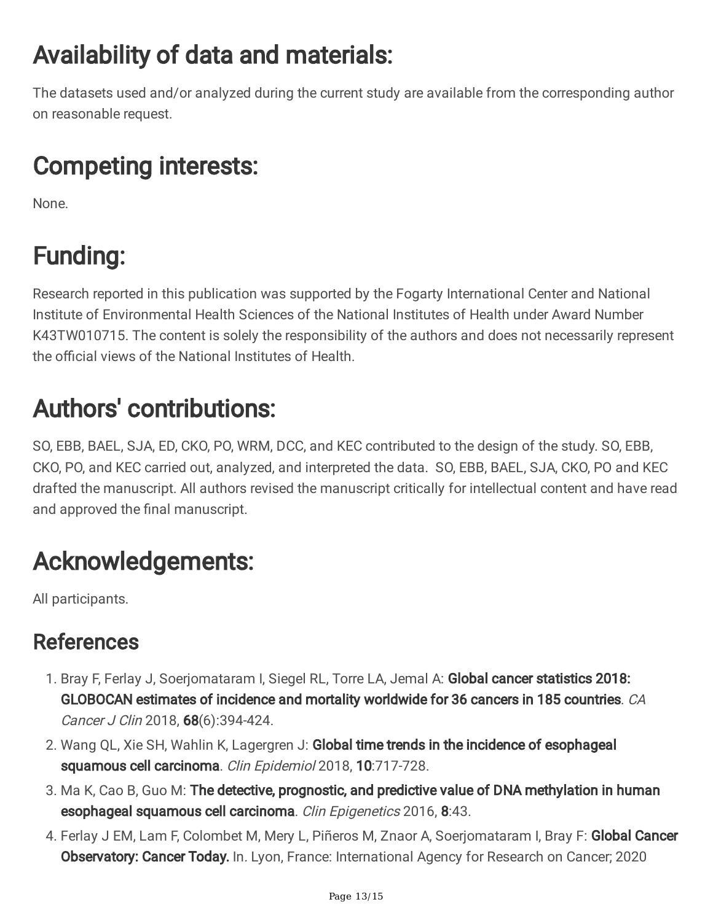# Availability of data and materials:

The datasets used and/or analyzed during the current study are available from the corresponding author on reasonable request.

# Competing interests:

None.

# Funding:

Research reported in this publication was supported by the Fogarty International Center and National Institute of Environmental Health Sciences of the National Institutes of Health under Award Number K43TW010715. The content is solely the responsibility of the authors and does not necessarily represent the official views of the National Institutes of Health.

# Authors' contributions:

SO, EBB, BAEL, SJA, ED, CKO, PO, WRM, DCC, and KEC contributed to the design of the study. SO, EBB, CKO, PO, and KEC carried out, analyzed, and interpreted the data. SO, EBB, BAEL, SJA, CKO, PO and KEC drafted the manuscript. All authors revised the manuscript critically for intellectual content and have read and approved the final manuscript.

## Acknowledgements:

All participants.

#### References

- 1. Bray F, Ferlay J, Soerjomataram I, Siegel RL, Torre LA, Jemal A: Global cancer statistics 2018: GLOBOCAN estimates of incidence and mortality worldwide for 36 cancers in 185 countries. CA Cancer J Clin 2018, **68**(6):394-424.
- 2. Wang QL, Xie SH, Wahlin K, Lagergren J: Global time trends in the incidence of esophageal squamous cell carcinoma. *Clin Epidemiol* 2018, **10**:717-728.
- 3. Ma K, Cao B, Guo M: The detective, prognostic, and predictive value of DNA methylation in human esophageal squamous cell carcinoma. Clin Epigenetics 2016, 8:43.
- 4. Ferlay J EM, Lam F, Colombet M, Mery L, Piñeros M, Znaor A, Soerjomataram I, Bray F: Global Cancer **Observatory: Cancer Today.** In. Lyon, France: International Agency for Research on Cancer; 2020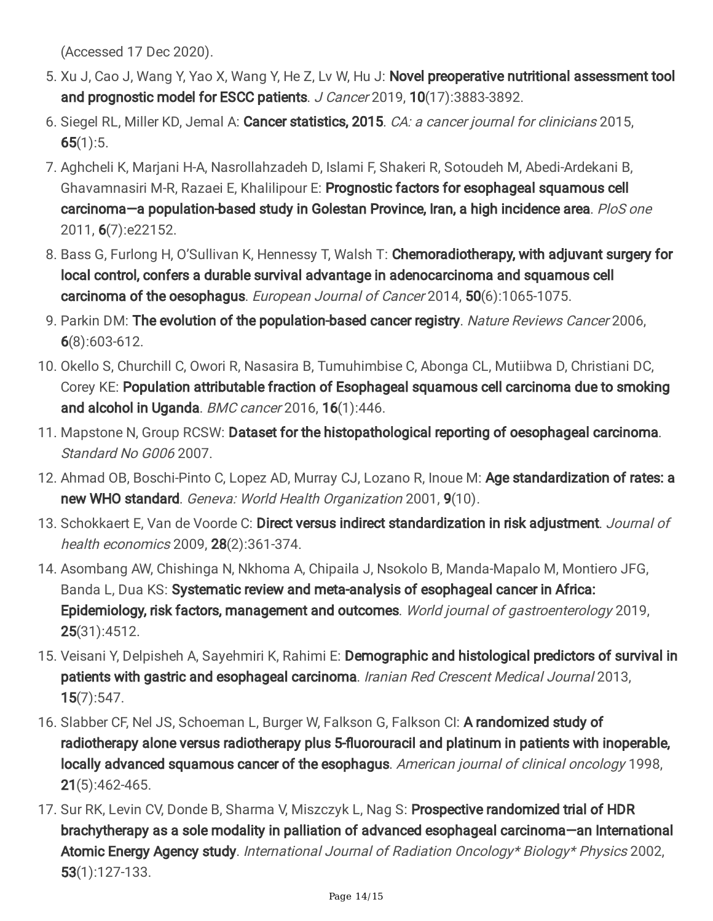(Accessed 17 Dec 2020).

- 5. Xu J, Cao J, Wang Y, Yao X, Wang Y, He Z, Lv W, Hu J: Novel preoperative nutritional assessment tool and prognostic model for ESCC patients. J Cancer 2019, 10(17):3883-3892.
- 6. Siegel RL, Miller KD, Jemal A: Cancer statistics, 2015. CA: a cancer journal for clinicians 2015,  $65(1):5.$
- 7. Aghcheli K, Marjani H-A, Nasrollahzadeh D, Islami F, Shakeri R, Sotoudeh M, Abedi-Ardekani B, Ghavamnasiri M-R, Razaei E, Khalilipour E: Prognostic factors for esophageal squamous cell carcinoma—a population-based study in Golestan Province, Iran, a high incidence area. PloS one 2011, 6(7):e22152.
- 8. Bass G, Furlong H, O'Sullivan K, Hennessy T, Walsh T: Chemoradiotherapy, with adjuvant surgery for local control, confers a durable survival advantage in adenocarcinoma and squamous cell carcinoma of the oesophagus. European Journal of Cancer 2014, 50(6):1065-1075.
- 9. Parkin DM: The evolution of the population-based cancer registry. Nature Reviews Cancer 2006, 6(8):603-612.
- 10. Okello S, Churchill C, Owori R, Nasasira B, Tumuhimbise C, Abonga CL, Mutiibwa D, Christiani DC, Corey KE: Population attributable fraction of Esophageal squamous cell carcinoma due to smoking and alcohol in Uganda. BMC cancer 2016, 16(1):446.
- 11. Mapstone N, Group RCSW: Dataset for the histopathological reporting of oesophageal carcinoma. Standard No G006 2007.
- 12. Ahmad OB, Boschi-Pinto C, Lopez AD, Murray CJ, Lozano R, Inoue M: Age standardization of rates: a new WHO standard. Geneva: World Health Organization 2001, 9(10).
- 13. Schokkaert E, Van de Voorde C: Direct versus indirect standardization in risk adjustment. Journal of health economics 2009, 28(2):361-374.
- 14. Asombang AW, Chishinga N, Nkhoma A, Chipaila J, Nsokolo B, Manda-Mapalo M, Montiero JFG, Banda L, Dua KS: Systematic review and meta-analysis of esophageal cancer in Africa: Epidemiology, risk factors, management and outcomes. World journal of gastroenterology 2019, 25(31):4512.
- 15. Veisani Y, Delpisheh A, Sayehmiri K, Rahimi E: Demographic and histological predictors of survival in patients with gastric and esophageal carcinoma. Iranian Red Crescent Medical Journal 2013, 15(7):547.
- 16. Slabber CF, Nel JS, Schoeman L, Burger W, Falkson G, Falkson CI: A randomized study of radiotherapy alone versus radiotherapy plus 5-fluorouracil and platinum in patients with inoperable, locally advanced squamous cancer of the esophagus. American journal of clinical oncology 1998, 21(5):462-465.
- 17. Sur RK, Levin CV, Donde B, Sharma V, Miszczyk L, Nag S: Prospective randomized trial of HDR brachytherapy as a sole modality in palliation of advanced esophageal carcinoma—an International Atomic Energy Agency study. International Journal of Radiation Oncology\* Biology\* Physics 2002, 53(1):127-133.